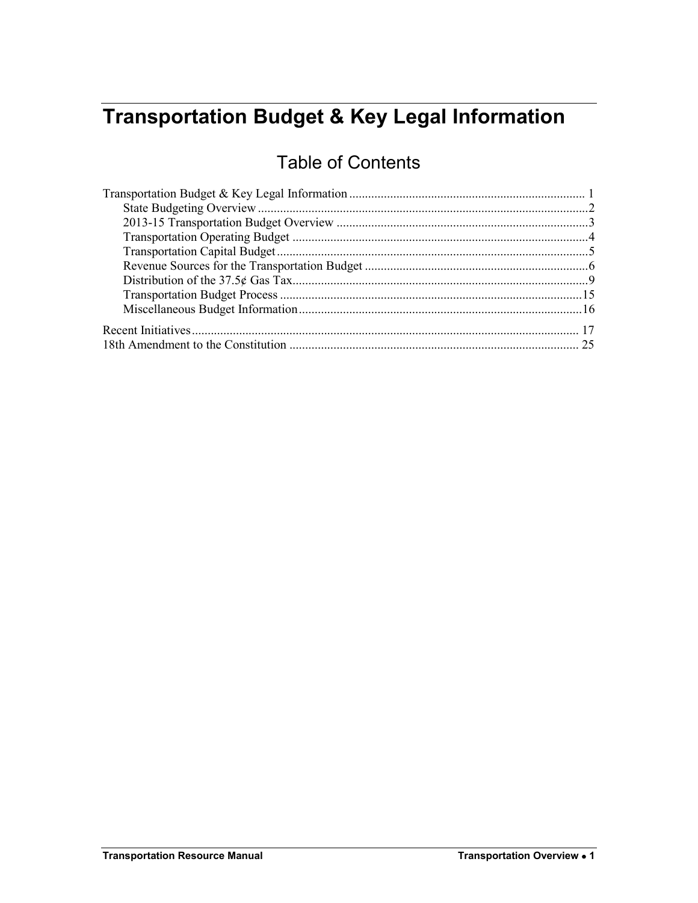# <span id="page-0-0"></span>**Transportation Budget & Key Legal Information**

# Table of Contents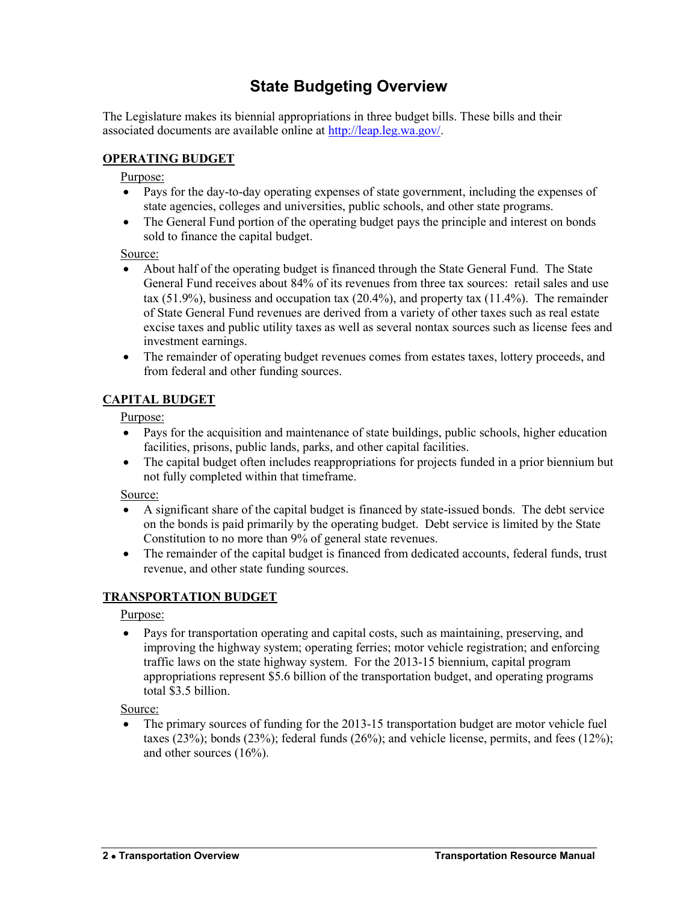# **State Budgeting Overview**

<span id="page-1-0"></span>The Legislature makes its biennial appropriations in three budget bills. These bills and their associated documents are available online at [http://leap.leg.wa.gov/.](http://leap.leg.wa.gov/)

### **OPERATING BUDGET**

#### Purpose:

- Pays for the day-to-day operating expenses of state government, including the expenses of state agencies, colleges and universities, public schools, and other state programs.
- The General Fund portion of the operating budget pays the principle and interest on bonds sold to finance the capital budget.

### Source:

- About half of the operating budget is financed through the State General Fund. The State General Fund receives about 84% of its revenues from three tax sources: retail sales and use tax  $(51.9%)$ , business and occupation tax  $(20.4%)$ , and property tax  $(11.4%)$ . The remainder of State General Fund revenues are derived from a variety of other taxes such as real estate excise taxes and public utility taxes as well as several nontax sources such as license fees and investment earnings.
- The remainder of operating budget revenues comes from estates taxes, lottery proceeds, and from federal and other funding sources.

### **CAPITAL BUDGET**

### Purpose:

- Pays for the acquisition and maintenance of state buildings, public schools, higher education facilities, prisons, public lands, parks, and other capital facilities.
- The capital budget often includes reappropriations for projects funded in a prior biennium but not fully completed within that timeframe.

### Source:

- A significant share of the capital budget is financed by state-issued bonds. The debt service on the bonds is paid primarily by the operating budget. Debt service is limited by the State Constitution to no more than 9% of general state revenues.
- The remainder of the capital budget is financed from dedicated accounts, federal funds, trust revenue, and other state funding sources.

### **TRANSPORTATION BUDGET**

Purpose:

 Pays for transportation operating and capital costs, such as maintaining, preserving, and improving the highway system; operating ferries; motor vehicle registration; and enforcing traffic laws on the state highway system. For the 2013-15 biennium, capital program appropriations represent \$5.6 billion of the transportation budget, and operating programs total \$3.5 billion.

Source:

 The primary sources of funding for the 2013-15 transportation budget are motor vehicle fuel taxes (23%); bonds (23%); federal funds (26%); and vehicle license, permits, and fees (12%); and other sources (16%).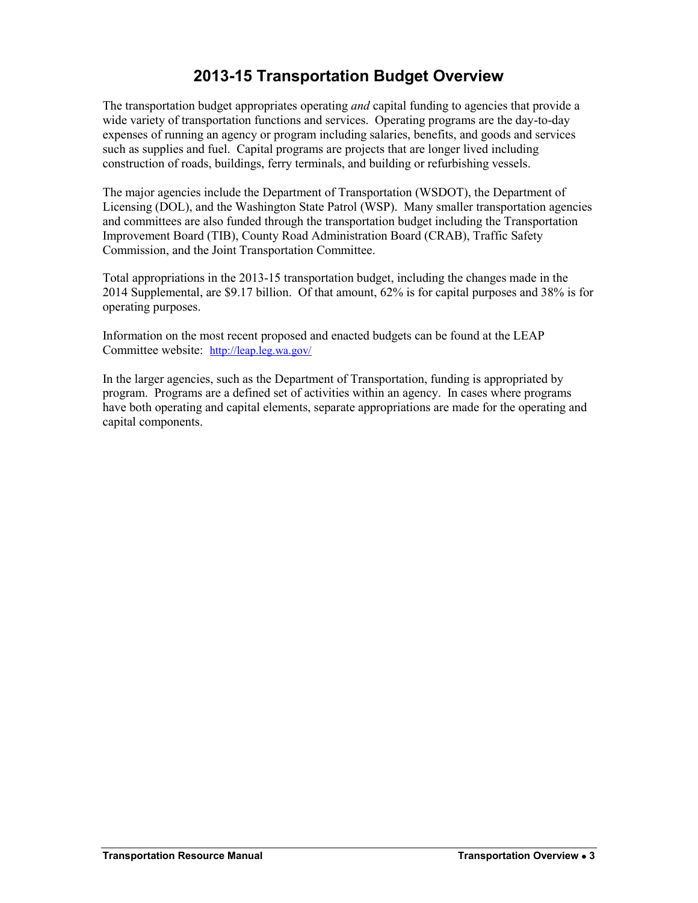# **2013-15 Transportation Budget Overview**

<span id="page-2-0"></span>The transportation budget appropriates operating *and* capital funding to agencies that provide a wide variety of transportation functions and services. Operating programs are the day-to-day expenses of running an agency or program including salaries, benefits, and goods and services such as supplies and fuel. Capital programs are projects that are longer lived including construction of roads, buildings, ferry terminals, and building or refurbishing vessels.

The major agencies include the Department of Transportation (WSDOT), the Department of Licensing (DOL), and the Washington State Patrol (WSP). Many smaller transportation agencies and committees are also funded through the transportation budget including the Transportation Improvement Board (TIB), County Road Administration Board (CRAB), Traffic Safety Commission, and the Joint Transportation Committee.

Total appropriations in the 2013-15 transportation budget, including the changes made in the 2014 Supplemental, are \$9.17 billion. Of that amount, 62% is for capital purposes and 38% is for operating purposes.

Information on the most recent proposed and enacted budgets can be found at the LEAP Committee website: <http://leap.leg.wa.gov/>

In the larger agencies, such as the Department of Transportation, funding is appropriated by program. Programs are a defined set of activities within an agency. In cases where programs have both operating and capital elements, separate appropriations are made for the operating and capital components.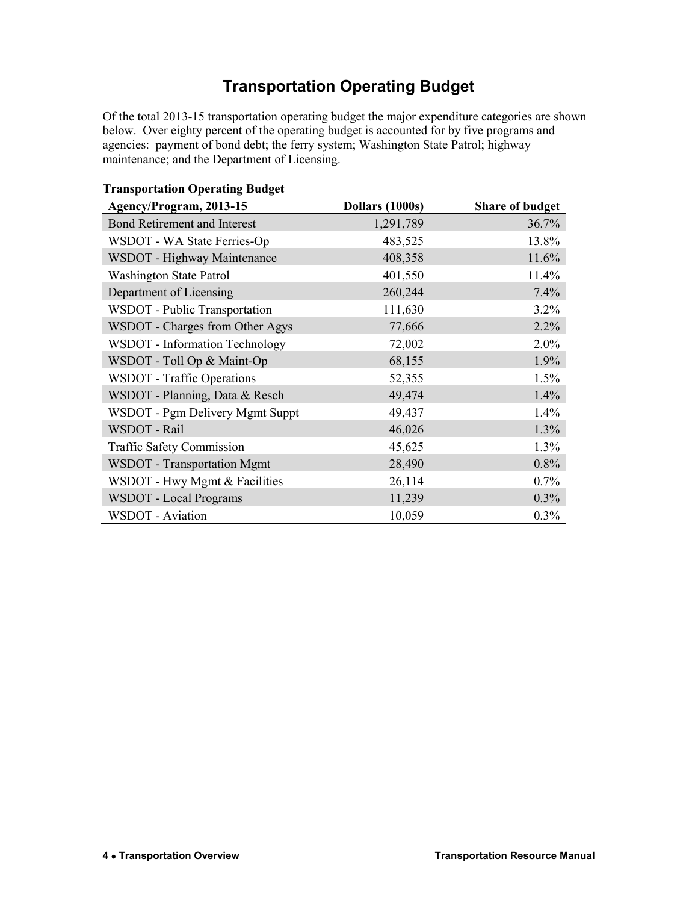# **Transportation Operating Budget**

<span id="page-3-0"></span>Of the total 2013-15 transportation operating budget the major expenditure categories are shown below. Over eighty percent of the operating budget is accounted for by five programs and agencies: payment of bond debt; the ferry system; Washington State Patrol; highway maintenance; and the Department of Licensing.

| Agency/Program, 2013-15             | Dollars (1000s) | <b>Share of budget</b> |
|-------------------------------------|-----------------|------------------------|
| <b>Bond Retirement and Interest</b> | 1,291,789       | 36.7%                  |
| WSDOT - WA State Ferries-Op         | 483,525         | 13.8%                  |
| WSDOT - Highway Maintenance         | 408,358         | 11.6%                  |
| <b>Washington State Patrol</b>      | 401,550         | 11.4%                  |
| Department of Licensing             | 260,244         | 7.4%                   |
| WSDOT - Public Transportation       | 111,630         | 3.2%                   |
| WSDOT - Charges from Other Agys     | 77,666          | 2.2%                   |
| WSDOT - Information Technology      | 72,002          | 2.0%                   |
| WSDOT - Toll Op & Maint-Op          | 68,155          | 1.9%                   |
| <b>WSDOT</b> - Traffic Operations   | 52,355          | 1.5%                   |
| WSDOT - Planning, Data & Resch      | 49,474          | 1.4%                   |
| WSDOT - Pgm Delivery Mgmt Suppt     | 49,437          | 1.4%                   |
| WSDOT - Rail                        | 46,026          | 1.3%                   |
| <b>Traffic Safety Commission</b>    | 45,625          | 1.3%                   |
| <b>WSDOT</b> - Transportation Mgmt  | 28,490          | 0.8%                   |
| WSDOT - Hwy Mgmt & Facilities       | 26,114          | 0.7%                   |
| WSDOT - Local Programs              | 11,239          | 0.3%                   |
| <b>WSDOT</b> - Aviation             | 10,059          | 0.3%                   |

**Transportation Operating Budget**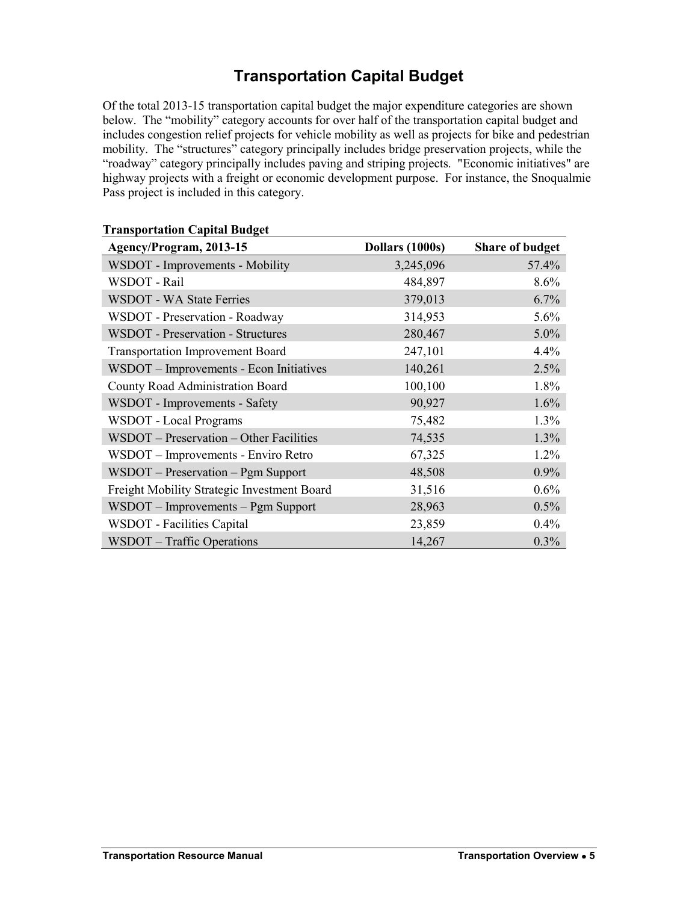# **Transportation Capital Budget**

<span id="page-4-0"></span>Of the total 2013-15 transportation capital budget the major expenditure categories are shown below. The "mobility" category accounts for over half of the transportation capital budget and includes congestion relief projects for vehicle mobility as well as projects for bike and pedestrian mobility. The "structures" category principally includes bridge preservation projects, while the "roadway" category principally includes paving and striping projects. "Economic initiatives" are highway projects with a freight or economic development purpose. For instance, the Snoqualmie Pass project is included in this category.

| rransportation capital buuget<br>Agency/Program, 2013-15 | Dollars (1000s) | <b>Share of budget</b> |
|----------------------------------------------------------|-----------------|------------------------|
| WSDOT - Improvements - Mobility                          | 3,245,096       | 57.4%                  |
| WSDOT - Rail                                             | 484,897         | 8.6%                   |
| <b>WSDOT - WA State Ferries</b>                          | 379,013         | 6.7%                   |
| WSDOT - Preservation - Roadway                           | 314,953         | 5.6%                   |
| <b>WSDOT</b> - Preservation - Structures                 | 280,467         | 5.0%                   |
| <b>Transportation Improvement Board</b>                  | 247,101         | 4.4%                   |
| WSDOT - Improvements - Econ Initiatives                  | 140,261         | 2.5%                   |
| County Road Administration Board                         | 100,100         | 1.8%                   |
| WSDOT - Improvements - Safety                            | 90,927          | 1.6%                   |
| <b>WSDOT</b> - Local Programs                            | 75,482          | 1.3%                   |
| WSDOT - Preservation - Other Facilities                  | 74,535          | 1.3%                   |
| WSDOT – Improvements - Enviro Retro                      | 67,325          | 1.2%                   |
| WSDOT - Preservation - Pgm Support                       | 48,508          | 0.9%                   |
| Freight Mobility Strategic Investment Board              | 31,516          | 0.6%                   |
| WSDOT – Improvements – Pgm Support                       | 28,963          | 0.5%                   |
| WSDOT - Facilities Capital                               | 23,859          | 0.4%                   |
| WSDOT – Traffic Operations                               | 14,267          | 0.3%                   |

### **Transportation Capital Budget**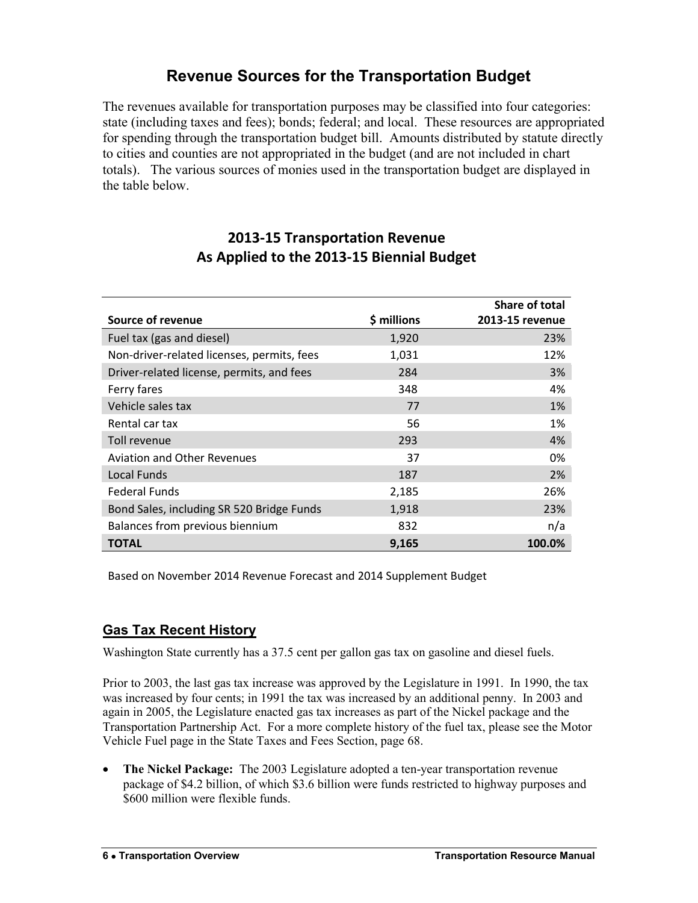## **Revenue Sources for the Transportation Budget**

<span id="page-5-0"></span>The revenues available for transportation purposes may be classified into four categories: state (including taxes and fees); bonds; federal; and local. These resources are appropriated for spending through the transportation budget bill. Amounts distributed by statute directly to cities and counties are not appropriated in the budget (and are not included in chart totals). The various sources of monies used in the transportation budget are displayed in the table below.

### **2013-15 Transportation Revenue As Applied to the 2013-15 Biennial Budget**

|                                            |             | Share of total  |
|--------------------------------------------|-------------|-----------------|
| Source of revenue                          | \$ millions | 2013-15 revenue |
| Fuel tax (gas and diesel)                  | 1,920       | 23%             |
| Non-driver-related licenses, permits, fees | 1,031       | 12%             |
| Driver-related license, permits, and fees  | 284         | 3%              |
| Ferry fares                                | 348         | 4%              |
| Vehicle sales tax                          | 77          | 1%              |
| Rental car tax                             | 56          | 1%              |
| Toll revenue                               | 293         | 4%              |
| <b>Aviation and Other Revenues</b>         | 37          | 0%              |
| <b>Local Funds</b>                         | 187         | 2%              |
| <b>Federal Funds</b>                       | 2,185       | 26%             |
| Bond Sales, including SR 520 Bridge Funds  | 1,918       | 23%             |
| Balances from previous biennium            | 832         | n/a             |
| <b>TOTAL</b>                               | 9,165       | 100.0%          |

Based on November 2014 Revenue Forecast and 2014 Supplement Budget

### **Gas Tax Recent History**

Washington State currently has a 37.5 cent per gallon gas tax on gasoline and diesel fuels.

Prior to 2003, the last gas tax increase was approved by the Legislature in 1991. In 1990, the tax was increased by four cents; in 1991 the tax was increased by an additional penny. In 2003 and again in 2005, the Legislature enacted gas tax increases as part of the Nickel package and the Transportation Partnership Act. For a more complete history of the fuel tax, please see the Motor Vehicle Fuel page in the State Taxes and Fees Section, page 68.

 **The Nickel Package:** The 2003 Legislature adopted a ten-year transportation revenue package of \$4.2 billion, of which \$3.6 billion were funds restricted to highway purposes and \$600 million were flexible funds.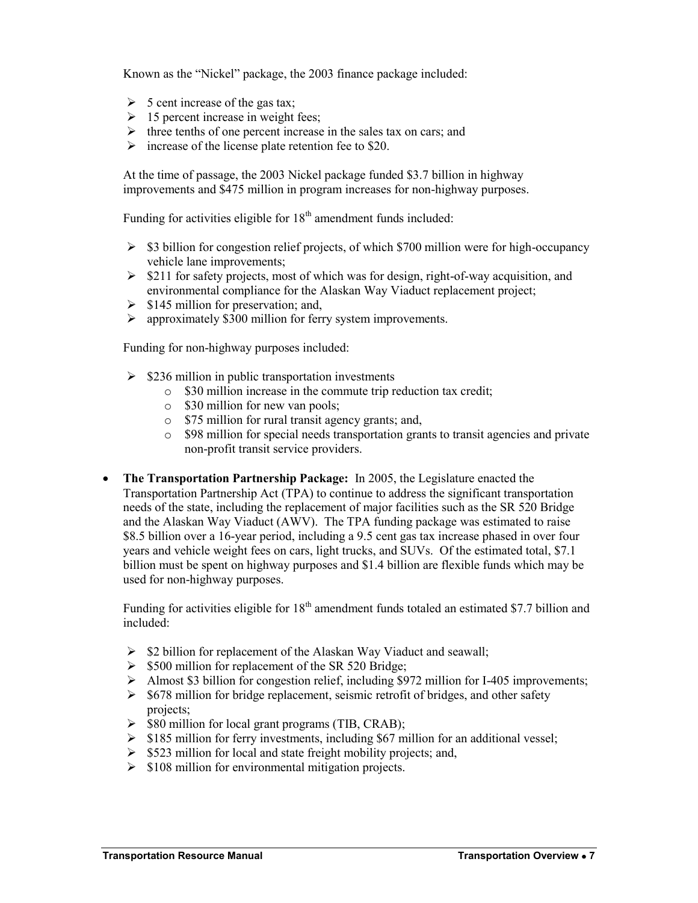Known as the "Nickel" package, the 2003 finance package included:

- $\triangleright$  5 cent increase of the gas tax;
- $\geq 15$  percent increase in weight fees;
- $\triangleright$  three tenths of one percent increase in the sales tax on cars; and
- $\triangleright$  increase of the license plate retention fee to \$20.

At the time of passage, the 2003 Nickel package funded \$3.7 billion in highway improvements and \$475 million in program increases for non-highway purposes.

Funding for activities eligible for  $18<sup>th</sup>$  amendment funds included:

- $\geq$  \$3 billion for congestion relief projects, of which \$700 million were for high-occupancy vehicle lane improvements;
- $\geq$  \$211 for safety projects, most of which was for design, right-of-way acquisition, and environmental compliance for the Alaskan Way Viaduct replacement project;
- $\triangleright$  \$145 million for preservation; and,
- $\triangleright$  approximately \$300 million for ferry system improvements.

Funding for non-highway purposes included:

- $\geq$  \$236 million in public transportation investments
	- o \$30 million increase in the commute trip reduction tax credit;
	- o \$30 million for new van pools;
	- o \$75 million for rural transit agency grants; and,
	- o \$98 million for special needs transportation grants to transit agencies and private non-profit transit service providers.
- **The Transportation Partnership Package:** In 2005, the Legislature enacted the Transportation Partnership Act (TPA) to continue to address the significant transportation needs of the state, including the replacement of major facilities such as the SR 520 Bridge and the Alaskan Way Viaduct (AWV). The TPA funding package was estimated to raise \$8.5 billion over a 16-year period, including a 9.5 cent gas tax increase phased in over four years and vehicle weight fees on cars, light trucks, and SUVs. Of the estimated total, \$7.1 billion must be spent on highway purposes and \$1.4 billion are flexible funds which may be used for non-highway purposes.

Funding for activities eligible for  $18<sup>th</sup>$  amendment funds totaled an estimated \$7.7 billion and included:

- $\triangleright$  \$2 billion for replacement of the Alaskan Way Viaduct and seawall;
- $\triangleright$  \$500 million for replacement of the SR 520 Bridge;
- $\triangleright$  Almost \$3 billion for congestion relief, including \$972 million for I-405 improvements;
- $\ge$  \$678 million for bridge replacement, seismic retrofit of bridges, and other safety projects;
- $\triangleright$  \$80 million for local grant programs (TIB, CRAB);
- $\geq$  \$185 million for ferry investments, including \$67 million for an additional vessel;
- $\triangleright$  \$523 million for local and state freight mobility projects; and,
- $\geq$  \$108 million for environmental mitigation projects.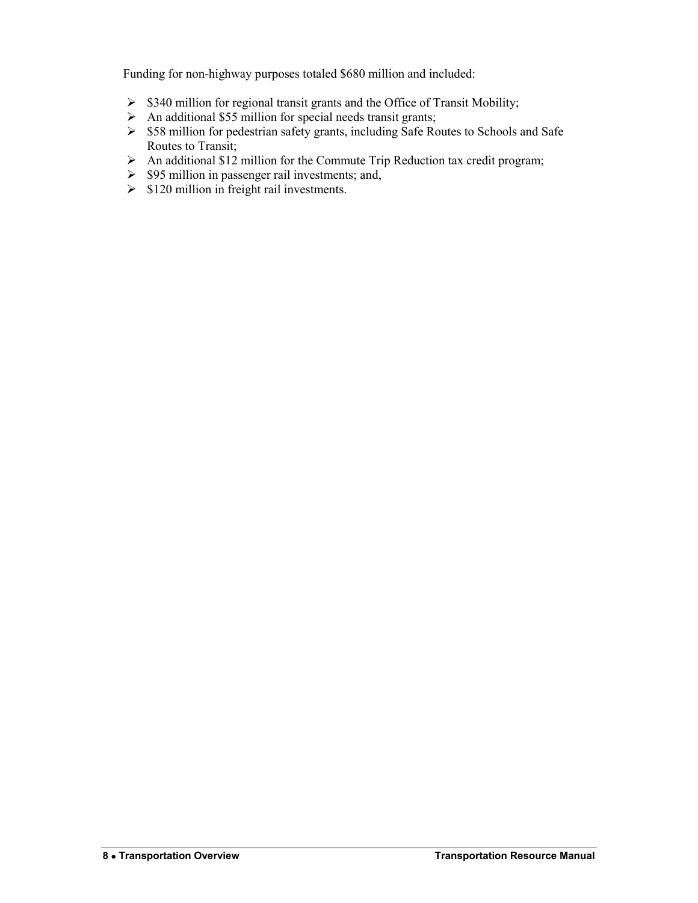Funding for non-highway purposes totaled \$680 million and included:

- $\geq$  \$340 million for regional transit grants and the Office of Transit Mobility;
- $\triangleright$  An additional \$55 million for special needs transit grants;
- $\geq$  \$58 million for pedestrian safety grants, including Safe Routes to Schools and Safe Routes to Transit;
- $\triangleright$  An additional \$12 million for the Commute Trip Reduction tax credit program;
- $\triangleright$  \$95 million in passenger rail investments; and,
- $\geq$  \$120 million in freight rail investments.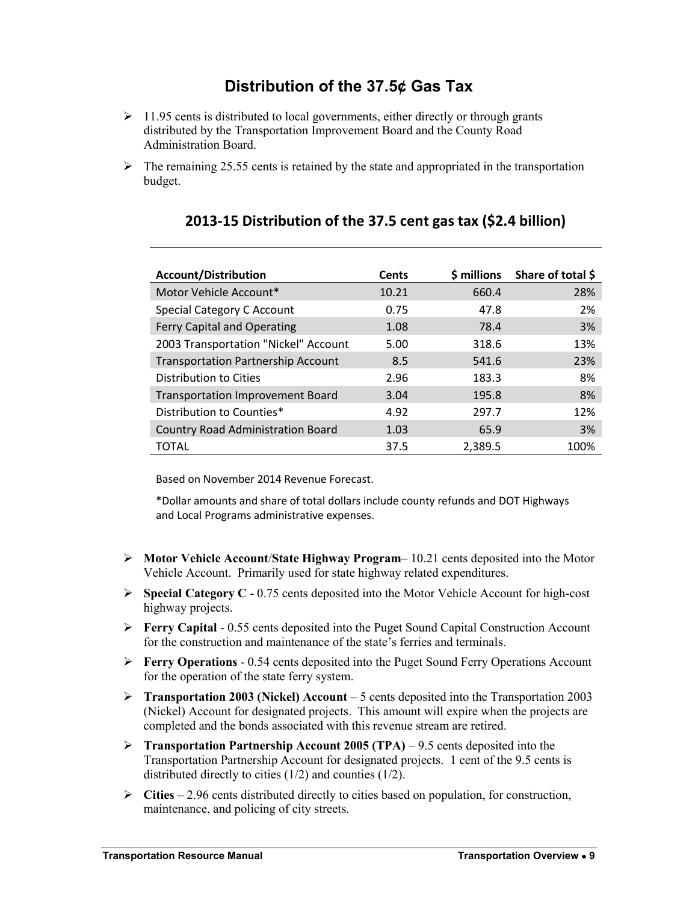# **Distribution of the 37.5¢ Gas Tax**

- <span id="page-8-0"></span> $\geq 11.95$  cents is distributed to local governments, either directly or through grants distributed by the Transportation Improvement Board and the County Road Administration Board.
- $\triangleright$  The remaining 25.55 cents is retained by the state and appropriated in the transportation budget.

| <b>Account/Distribution</b>               | Cents | $$$ millions | Share of total \$ |
|-------------------------------------------|-------|--------------|-------------------|
| Motor Vehicle Account*                    | 10.21 | 660.4        | 28%               |
| Special Category C Account                | 0.75  | 47.8         | 2%                |
| Ferry Capital and Operating               | 1.08  | 78.4         | 3%                |
| 2003 Transportation "Nickel" Account      | 5.00  | 318.6        | 13%               |
| <b>Transportation Partnership Account</b> | 8.5   | 541.6        | 23%               |
| Distribution to Cities                    | 2.96  | 183.3        | 8%                |
| <b>Transportation Improvement Board</b>   | 3.04  | 195.8        | 8%                |
| Distribution to Counties*                 | 4.92  | 297.7        | 12%               |
| <b>Country Road Administration Board</b>  | 1.03  | 65.9         | 3%                |
| TOTAL                                     | 37.5  | 2,389.5      | 100%              |

### **2013-15 Distribution of the 37.5 cent gas tax (\$2.4 billion)**

Based on November 2014 Revenue Forecast.

\*Dollar amounts and share of total dollars include county refunds and DOT Highways and Local Programs administrative expenses.

- **Motor Vehicle Account**/**State Highway Program** 10.21 cents deposited into the Motor Vehicle Account. Primarily used for state highway related expenditures.
- **Special Category C** 0.75 cents deposited into the Motor Vehicle Account for high-cost highway projects.
- **Ferry Capital** 0.55 cents deposited into the Puget Sound Capital Construction Account for the construction and maintenance of the state's ferries and terminals.
- **Ferry Operations** 0.54 cents deposited into the Puget Sound Ferry Operations Account for the operation of the state ferry system.
- **Transportation 2003 (Nickel) Account** 5 cents deposited into the Transportation 2003 (Nickel) Account for designated projects. This amount will expire when the projects are completed and the bonds associated with this revenue stream are retired.
- **Transportation Partnership Account 2005 (TPA) 9.5 cents deposited into the** Transportation Partnership Account for designated projects. 1 cent of the 9.5 cents is distributed directly to cities (1/2) and counties (1/2).
- **Cities** 2.96 cents distributed directly to cities based on population, for construction, maintenance, and policing of city streets.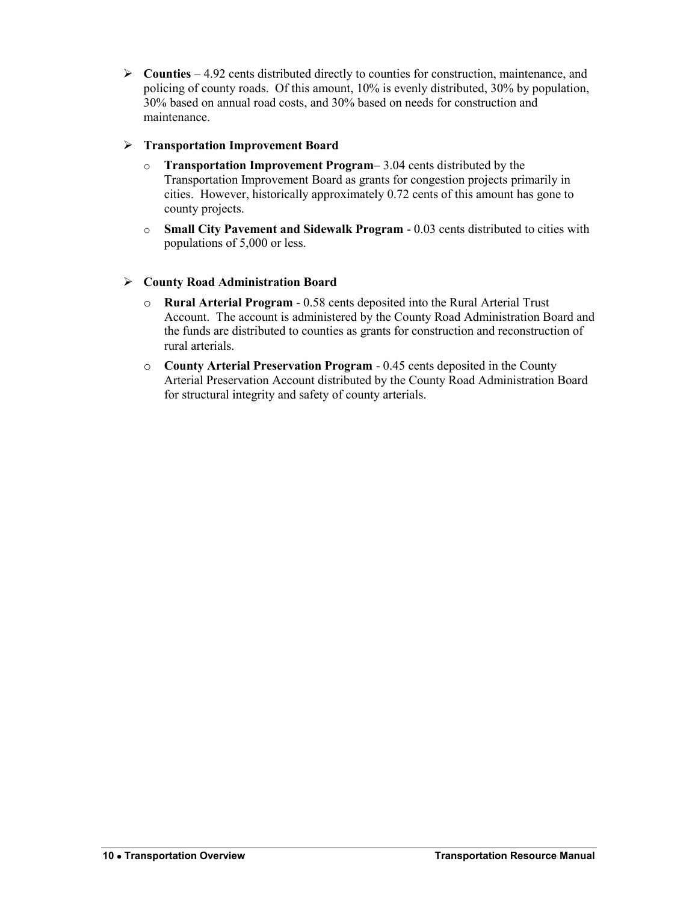**Counties** – 4.92 cents distributed directly to counties for construction, maintenance, and policing of county roads. Of this amount, 10% is evenly distributed, 30% by population, 30% based on annual road costs, and 30% based on needs for construction and maintenance.

### **Transportation Improvement Board**

- o **Transportation Improvement Program** 3.04 cents distributed by the Transportation Improvement Board as grants for congestion projects primarily in cities. However, historically approximately 0.72 cents of this amount has gone to county projects.
- o **Small City Pavement and Sidewalk Program** 0.03 cents distributed to cities with populations of 5,000 or less.

### **County Road Administration Board**

- o **Rural Arterial Program** 0.58 cents deposited into the Rural Arterial Trust Account. The account is administered by the County Road Administration Board and the funds are distributed to counties as grants for construction and reconstruction of rural arterials.
- o **County Arterial Preservation Program** 0.45 cents deposited in the County Arterial Preservation Account distributed by the County Road Administration Board for structural integrity and safety of county arterials.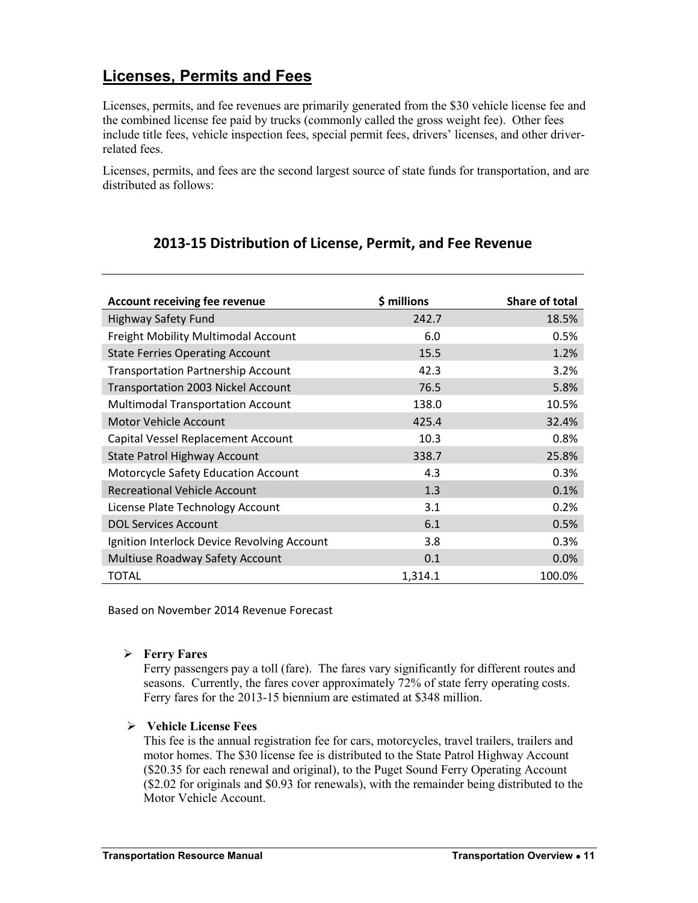# **Licenses, Permits and Fees**

Licenses, permits, and fee revenues are primarily generated from the \$30 vehicle license fee and the combined license fee paid by trucks (commonly called the gross weight fee). Other fees include title fees, vehicle inspection fees, special permit fees, drivers' licenses, and other driverrelated fees.

Licenses, permits, and fees are the second largest source of state funds for transportation, and are distributed as follows:

### **2013-15 Distribution of License, Permit, and Fee Revenue**

| <b>Account receiving fee revenue</b>        | \$ millions | <b>Share of total</b> |
|---------------------------------------------|-------------|-----------------------|
| <b>Highway Safety Fund</b>                  | 242.7       | 18.5%                 |
| Freight Mobility Multimodal Account         | 6.0         | 0.5%                  |
| <b>State Ferries Operating Account</b>      | 15.5        | 1.2%                  |
| <b>Transportation Partnership Account</b>   | 42.3        | 3.2%                  |
| <b>Transportation 2003 Nickel Account</b>   | 76.5        | 5.8%                  |
| <b>Multimodal Transportation Account</b>    | 138.0       | 10.5%                 |
| <b>Motor Vehicle Account</b>                | 425.4       | 32.4%                 |
| Capital Vessel Replacement Account          | 10.3        | 0.8%                  |
| <b>State Patrol Highway Account</b>         | 338.7       | 25.8%                 |
| Motorcycle Safety Education Account         | 4.3         | 0.3%                  |
| <b>Recreational Vehicle Account</b>         | 1.3         | 0.1%                  |
| License Plate Technology Account            | 3.1         | 0.2%                  |
| <b>DOL Services Account</b>                 | 6.1         | 0.5%                  |
| Ignition Interlock Device Revolving Account | 3.8         | 0.3%                  |
| Multiuse Roadway Safety Account             | 0.1         | 0.0%                  |
| <b>TOTAL</b>                                | 1,314.1     | 100.0%                |

Based on November 2014 Revenue Forecast

#### **Ferry Fares**

Ferry passengers pay a toll (fare). The fares vary significantly for different routes and seasons. Currently, the fares cover approximately 72% of state ferry operating costs. Ferry fares for the 2013-15 biennium are estimated at \$348 million.

#### **Vehicle License Fees**

This fee is the annual registration fee for cars, motorcycles, travel trailers, trailers and motor homes. The \$30 license fee is distributed to the State Patrol Highway Account (\$20.35 for each renewal and original), to the Puget Sound Ferry Operating Account (\$2.02 for originals and \$0.93 for renewals), with the remainder being distributed to the Motor Vehicle Account.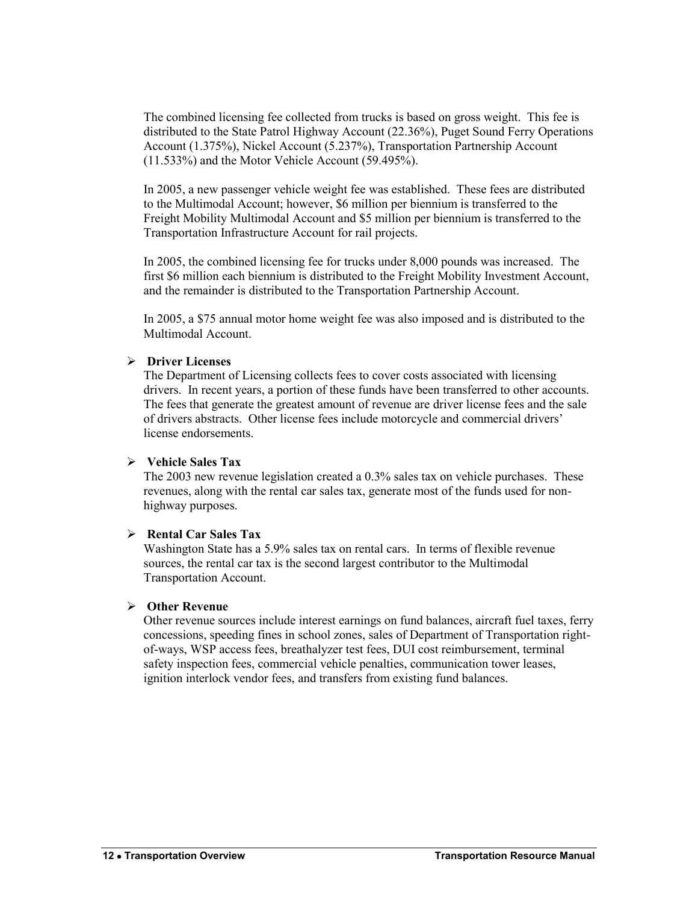The combined licensing fee collected from trucks is based on gross weight. This fee is distributed to the State Patrol Highway Account (22.36%), Puget Sound Ferry Operations Account (1.375%), Nickel Account (5.237%), Transportation Partnership Account (11.533%) and the Motor Vehicle Account (59.495%).

In 2005, a new passenger vehicle weight fee was established. These fees are distributed to the Multimodal Account; however, \$6 million per biennium is transferred to the Freight Mobility Multimodal Account and \$5 million per biennium is transferred to the Transportation Infrastructure Account for rail projects.

In 2005, the combined licensing fee for trucks under 8,000 pounds was increased. The first \$6 million each biennium is distributed to the Freight Mobility Investment Account, and the remainder is distributed to the Transportation Partnership Account.

In 2005, a \$75 annual motor home weight fee was also imposed and is distributed to the Multimodal Account.

#### **Driver Licenses**

The Department of Licensing collects fees to cover costs associated with licensing drivers. In recent years, a portion of these funds have been transferred to other accounts. The fees that generate the greatest amount of revenue are driver license fees and the sale of drivers abstracts. Other license fees include motorcycle and commercial drivers' license endorsements.

#### **Vehicle Sales Tax**

The 2003 new revenue legislation created a 0.3% sales tax on vehicle purchases. These revenues, along with the rental car sales tax, generate most of the funds used for nonhighway purposes.

#### **Rental Car Sales Tax**

Washington State has a 5.9% sales tax on rental cars. In terms of flexible revenue sources, the rental car tax is the second largest contributor to the Multimodal Transportation Account.

#### **Other Revenue**

Other revenue sources include interest earnings on fund balances, aircraft fuel taxes, ferry concessions, speeding fines in school zones, sales of Department of Transportation rightof-ways, WSP access fees, breathalyzer test fees, DUI cost reimbursement, terminal safety inspection fees, commercial vehicle penalties, communication tower leases, ignition interlock vendor fees, and transfers from existing fund balances.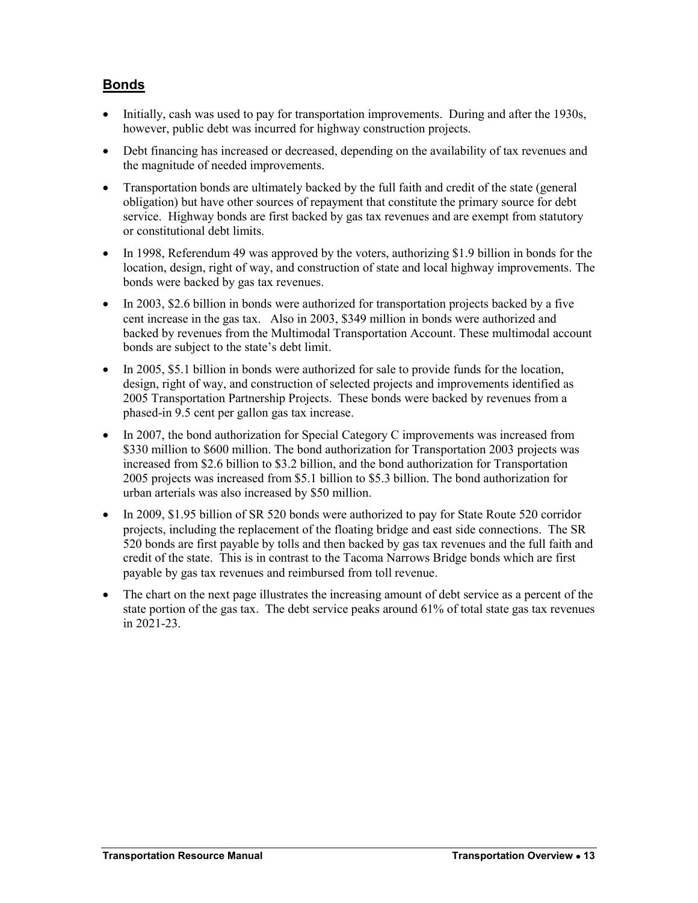### **Bonds**

- Initially, cash was used to pay for transportation improvements. During and after the 1930s, however, public debt was incurred for highway construction projects.
- Debt financing has increased or decreased, depending on the availability of tax revenues and the magnitude of needed improvements.
- Transportation bonds are ultimately backed by the full faith and credit of the state (general obligation) but have other sources of repayment that constitute the primary source for debt service. Highway bonds are first backed by gas tax revenues and are exempt from statutory or constitutional debt limits.
- In 1998, Referendum 49 was approved by the voters, authorizing \$1.9 billion in bonds for the location, design, right of way, and construction of state and local highway improvements. The bonds were backed by gas tax revenues.
- In 2003, \$2.6 billion in bonds were authorized for transportation projects backed by a five cent increase in the gas tax. Also in 2003, \$349 million in bonds were authorized and backed by revenues from the Multimodal Transportation Account. These multimodal account bonds are subject to the state's debt limit.
- In 2005, \$5.1 billion in bonds were authorized for sale to provide funds for the location, design, right of way, and construction of selected projects and improvements identified as 2005 Transportation Partnership Projects. These bonds were backed by revenues from a phased-in 9.5 cent per gallon gas tax increase.
- In 2007, the bond authorization for Special Category C improvements was increased from \$330 million to \$600 million. The bond authorization for Transportation 2003 projects was increased from \$2.6 billion to \$3.2 billion, and the bond authorization for Transportation 2005 projects was increased from \$5.1 billion to \$5.3 billion. The bond authorization for urban arterials was also increased by \$50 million.
- In 2009, \$1.95 billion of SR 520 bonds were authorized to pay for State Route 520 corridor projects, including the replacement of the floating bridge and east side connections. The SR 520 bonds are first payable by tolls and then backed by gas tax revenues and the full faith and credit of the state. This is in contrast to the Tacoma Narrows Bridge bonds which are first payable by gas tax revenues and reimbursed from toll revenue.
- The chart on the next page illustrates the increasing amount of debt service as a percent of the state portion of the gas tax. The debt service peaks around 61% of total state gas tax revenues in 2021-23.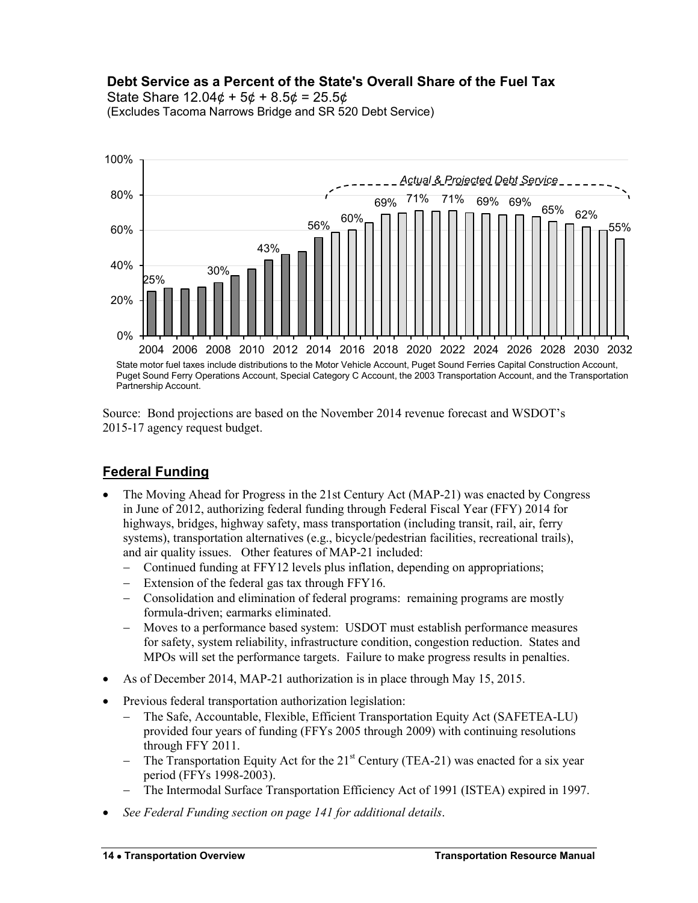### **Debt Service as a Percent of the State's Overall Share of the Fuel Tax**

State Share  $12.04¢ + 5¢ + 8.5¢ = 25.5¢$ (Excludes Tacoma Narrows Bridge and SR 520 Debt Service)



Source: Bond projections are based on the November 2014 revenue forecast and WSDOT's 2015-17 agency request budget.

### **Federal Funding**

- The Moving Ahead for Progress in the 21st Century Act (MAP-21) was enacted by Congress in June of 2012, authorizing federal funding through Federal Fiscal Year (FFY) 2014 for highways, bridges, highway safety, mass transportation (including transit, rail, air, ferry systems), transportation alternatives (e.g., bicycle/pedestrian facilities, recreational trails), and air quality issues. Other features of MAP-21 included:
	- Continued funding at FFY12 levels plus inflation, depending on appropriations;
	- Extension of the federal gas tax through FFY16.
	- Consolidation and elimination of federal programs: remaining programs are mostly formula-driven; earmarks eliminated.
	- Moves to a performance based system: USDOT must establish performance measures for safety, system reliability, infrastructure condition, congestion reduction. States and MPOs will set the performance targets. Failure to make progress results in penalties.
- As of December 2014, MAP-21 authorization is in place through May 15, 2015.
- Previous federal transportation authorization legislation:
	- The Safe, Accountable, Flexible, Efficient Transportation Equity Act (SAFETEA-LU) provided four years of funding (FFYs 2005 through 2009) with continuing resolutions through FFY 2011.
	- The Transportation Equity Act for the 21<sup>st</sup> Century (TEA-21) was enacted for a six year period (FFYs 1998-2003).
	- The Intermodal Surface Transportation Efficiency Act of 1991 (ISTEA) expired in 1997.
- *See Federal Funding section on page 141 for additional details*.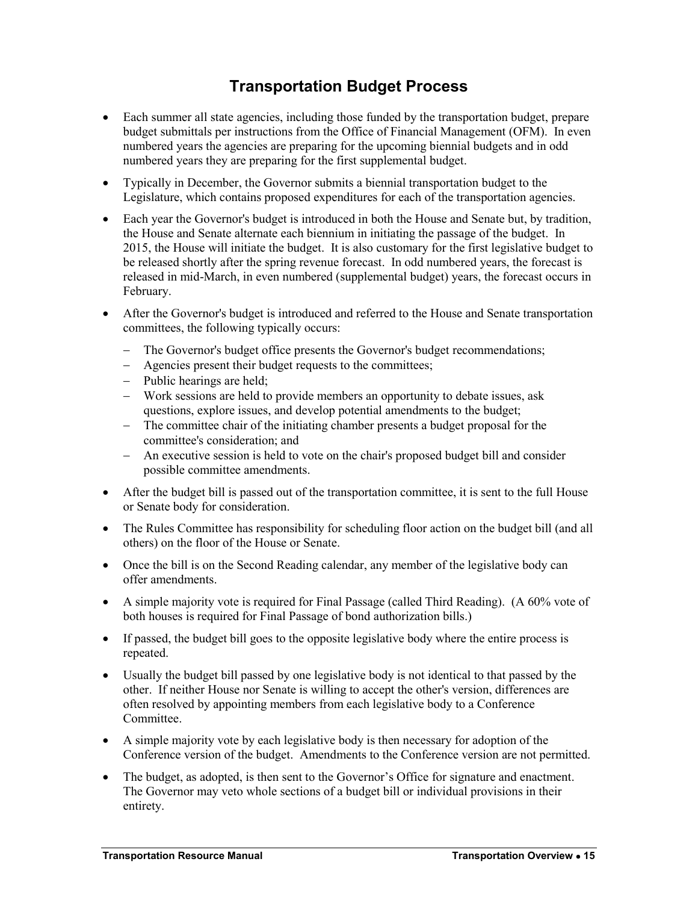# **Transportation Budget Process**

- <span id="page-14-0"></span> Each summer all state agencies, including those funded by the transportation budget, prepare budget submittals per instructions from the Office of Financial Management (OFM). In even numbered years the agencies are preparing for the upcoming biennial budgets and in odd numbered years they are preparing for the first supplemental budget.
- Typically in December, the Governor submits a biennial transportation budget to the Legislature, which contains proposed expenditures for each of the transportation agencies.
- Each year the Governor's budget is introduced in both the House and Senate but, by tradition, the House and Senate alternate each biennium in initiating the passage of the budget. In 2015, the House will initiate the budget. It is also customary for the first legislative budget to be released shortly after the spring revenue forecast. In odd numbered years, the forecast is released in mid-March, in even numbered (supplemental budget) years, the forecast occurs in February.
- After the Governor's budget is introduced and referred to the House and Senate transportation committees, the following typically occurs:
	- The Governor's budget office presents the Governor's budget recommendations;
	- Agencies present their budget requests to the committees;
	- Public hearings are held;
	- Work sessions are held to provide members an opportunity to debate issues, ask questions, explore issues, and develop potential amendments to the budget;
	- The committee chair of the initiating chamber presents a budget proposal for the committee's consideration; and
	- An executive session is held to vote on the chair's proposed budget bill and consider possible committee amendments.
- After the budget bill is passed out of the transportation committee, it is sent to the full House or Senate body for consideration.
- The Rules Committee has responsibility for scheduling floor action on the budget bill (and all others) on the floor of the House or Senate.
- Once the bill is on the Second Reading calendar, any member of the legislative body can offer amendments.
- A simple majority vote is required for Final Passage (called Third Reading). (A 60% vote of both houses is required for Final Passage of bond authorization bills.)
- If passed, the budget bill goes to the opposite legislative body where the entire process is repeated.
- Usually the budget bill passed by one legislative body is not identical to that passed by the other. If neither House nor Senate is willing to accept the other's version, differences are often resolved by appointing members from each legislative body to a Conference **Committee**
- A simple majority vote by each legislative body is then necessary for adoption of the Conference version of the budget. Amendments to the Conference version are not permitted.
- The budget, as adopted, is then sent to the Governor's Office for signature and enactment. The Governor may veto whole sections of a budget bill or individual provisions in their entirety.